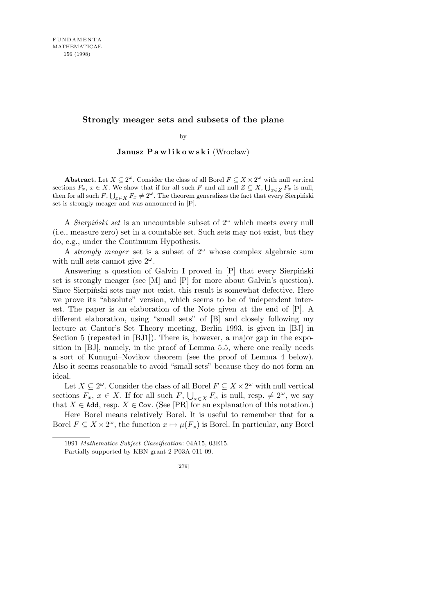## **Strongly meager sets and subsets of the plane**

by

Janusz Pawlikowski (Wrocław)

Abstract. Let  $X \subseteq 2^{\omega}$ . Consider the class of all Borel  $F \subseteq X \times 2^{\omega}$  with null vertical sections  $F_x$ ,  $x \in X$ . We show that if for all such *F* and all null  $Z \subseteq X$ ,  $\bigcup_{x \in Z} F_x$  is null, then for all such  $F$ ,  $\bigcup_{x \in X} F_x \neq 2^\omega$ . The theorem generalizes the fact that every Sierpiński set is strongly meager and was announced in [P].

A *Sierpiński set* is an uncountable subset of 2*<sup>ω</sup>* which meets every null (i.e., measure zero) set in a countable set. Such sets may not exist, but they do, e.g., under the Continuum Hypothesis.

A *strongly meager* set is a subset of  $2^{\omega}$  whose complex algebraic sum with null sets cannot give 2*<sup>ω</sup>*.

Answering a question of Galvin I proved in  $[P]$  that every Sierpinski set is strongly meager (see [M] and [P] for more about Galvin's question). Since Sierpiński sets may not exist, this result is somewhat defective. Here we prove its "absolute" version, which seems to be of independent interest. The paper is an elaboration of the Note given at the end of [P]. A different elaboration, using "small sets" of [B] and closely following my lecture at Cantor's Set Theory meeting, Berlin 1993, is given in [BJ] in Section 5 (repeated in [BJ1]). There is, however, a major gap in the exposition in [BJ], namely, in the proof of Lemma 5.5, where one really needs a sort of Kunugui–Novikov theorem (see the proof of Lemma 4 below). Also it seems reasonable to avoid "small sets" because they do not form an ideal.

Let  $X \subseteq 2^\omega$ . Consider the class of all Borel  $F \subseteq X \times 2^\omega$  with null vertical sections  $F_x$ ,  $x \in X$ . If for all such  $F$ ,  $\bigcup_{x \in X} F_x$  is null, resp.  $\neq 2^\omega$ , we say that  $X \in \text{Add}, \text{resp. } X \in \text{Cov}.$  (See [PR] for an explanation of this notation.)

Here Borel means relatively Borel. It is useful to remember that for a Borel  $F \subseteq X \times 2^{\omega}$ , the function  $x \mapsto \mu(F_x)$  is Borel. In particular, any Borel

<sup>1991</sup> *Mathematics Subject Classification*: 04A15, 03E15.

Partially supported by KBN grant 2 P03A 011 09.

<sup>[279]</sup>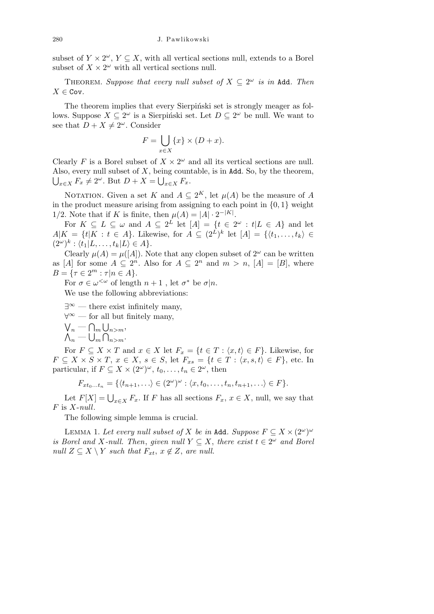subset of  $Y \times 2^{\omega}$ ,  $Y \subseteq X$ , with all vertical sections null, extends to a Borel subset of  $X \times 2^{\omega}$  with all vertical sections null.

THEOREM. Suppose that every null subset of  $X \subseteq 2^{\omega}$  is in Add. Then  $X \in \text{Cov}.$ 

The theorem implies that every Sierpinski set is strongly meager as follows. Suppose  $X \subseteq 2^{\omega}$  is a Sierpinski set. Let  $D \subseteq 2^{\omega}$  be null. We want to see that  $D + X \neq 2^{\omega}$ . Consider

$$
F = \bigcup_{x \in X} \{x\} \times (D + x).
$$

Clearly *F* is a Borel subset of  $X \times 2^{\omega}$  and all its vertical sections are null. Also, every null subset of  $X$ , being countable, is in Add. So, by the theorem,  $x \in X$   $F_x \neq 2^\omega$ . But  $D + X = \bigcup_{x \in X} F_x$ .

NOTATION. Given a set *K* and  $A \subseteq 2^K$ , let  $\mu(A)$  be the measure of *A* in the product measure arising from assigning to each point in *{*0*,* 1*}* weight 1/2. Note that if *K* is finite, then  $\mu(A) = |A| \cdot 2^{-|K|}$ .

For  $K \subseteq L \subseteq \omega$  and  $A \subseteq 2^L$  let  $[A] = \{t \in 2^{\omega} : t | L \in A\}$  and let  $A|K = \{t|K : t \in A\}$ . Likewise, for  $A \subseteq (2^L)^k$  let  $[A] = \{(t_1, \ldots, t_k) \in$  $(2^{\omega})^k : \langle t_1 | L, \ldots, t_k | L \rangle \in A$ .

Clearly  $\mu(A) = \mu([A])$ . Note that any clopen subset of  $2^{\omega}$  can be written as [*A*] for some  $A \subseteq 2^n$ . Also for  $A \subseteq 2^n$  and  $m > n$ ,  $[A] = [B]$ , where  $B = \{ \tau \in 2^m : \tau | n \in A \}.$ 

For  $\sigma \in \omega^{\leq \omega}$  of length  $n+1$ , let  $\sigma^*$  be  $\sigma|n$ .

We use the following abbreviations:

- *∃<sup>∞</sup>* there exist infinitely many,
- *∀*<sup>∞</sup> for all but finitely many,

$$
\bigvee_n \cdots \bigcap_m \bigcup_{n>m},
$$
  

$$
\bigwedge_n \cdots \bigcup_m \bigcap_{n>m}.
$$

For  $F \subseteq X \times T$  and  $x \in X$  let  $F_x = \{t \in T : \langle x, t \rangle \in F\}$ . Likewise, for  $F \subseteq X \times S \times T$ ,  $x \in X$ ,  $s \in S$ , let  $F_{xs} = \{t \in T : \langle x, s, t \rangle \in F\}$ , etc. In particular, if  $F \subseteq X \times (2^{\omega})^{\omega}$ ,  $t_0, \ldots, t_n \in 2^{\omega}$ , then

$$
F_{xt_0...t_n} = \{ \langle t_{n+1}, \ldots \rangle \in (2^{\omega})^{\omega} : \langle x, t_0, \ldots, t_n, t_{n+1}, \ldots \rangle \in F \}.
$$

Let  $F[X] = \bigcup_{x \in X} F_x$ . If *F* has all sections  $F_x, x \in X$ , null, we say that *F* is *X*-*null*.

The following simple lemma is crucial.

LEMMA 1. Let every null subset of *X* be in Add. Suppose  $F \subseteq X \times (2^{\omega})^{\omega}$ *is Borel and X*-null. Then, *given null*  $Y \subseteq X$ , *there exist*  $t \in 2^\omega$  *and Borel null*  $Z \subseteq X \setminus Y$  *such that*  $F_{xt}$ ,  $x \notin Z$ , *are null.*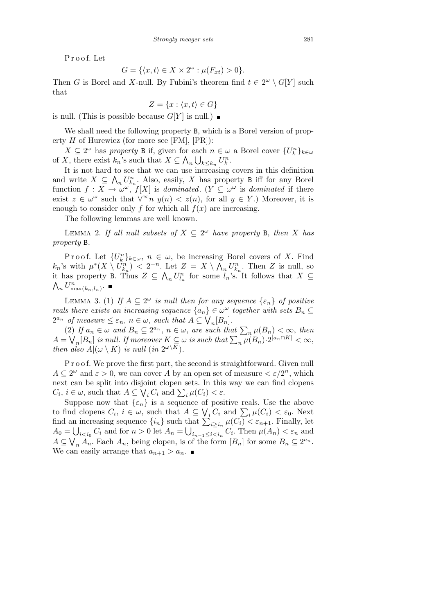P r o o f. Let

$$
G = \{ \langle x, t \rangle \in X \times 2^{\omega} : \mu(F_{xt}) > 0 \}.
$$

Then *G* is Borel and *X*-null. By Fubini's theorem find  $t \in 2^{\omega} \setminus G[Y]$  such that

$$
Z = \{x : \langle x, t \rangle \in G\}
$$

is null. (This is possible because  $G[Y]$  is null.)

We shall need the following property B, which is a Borel version of property *H* of Hurewicz (for more see [FM], [PR]):

*X*  $\subseteq$  2<sup>*ω*</sup> has *property* **B** if, given for each  $n \in \omega$  a Borel cover  $\{U_k^n\}_{k \in \omega}$ of *X*, there exist  $k_n$ 's such that  $X \subseteq \bigwedge_n \bigcup_{k \leq k_n} U_k^n$ .

It is not hard to see that we can use increasing covers in this definition and write  $X \subseteq \bigwedge_n U_{k_n}^n$ . Also, easily, X has property B iff for any Borel function  $f: X \to \omega^\omega$ ,  $f[X]$  is *dominated*. ( $Y \subseteq \omega^\omega$  is *dominated* if there exist  $z \in \omega^\omega$  such that  $\forall^\infty n \ y(n) < z(n)$ , for all  $y \in Y$ .) Moreover, it is enough to consider only  $f$  for which all  $f(x)$  are increasing.

The following lemmas are well known.

LEMMA 2. If all null subsets of  $X \subseteq 2^\omega$  have property B, then X has *property* B*.*

Proof. Let  $\{U_k^n\}_{k \in \omega}, n \in \omega$ , be increasing Borel covers of *X*. Find  $k_n$ 's with  $\mu^*(X \setminus U_{k_n}^n) < 2^{-n}$ . Let  $Z = X \setminus \bigwedge_n U_{k_n}^n$ . Then Z is null, so it has property B. Thus  $Z \subseteq \bigwedge_n U_{l_n}^n$  for some  $l_n$ 's. It follows that  $X \subseteq$  $U_{\max(k_n,l_n)}^n$ .

LEMMA 3. (1) If  $A \subseteq 2^{\omega}$  *is null then for any sequence*  $\{\varepsilon_n\}$  *of positive reals there exists an increasing sequence*  $\{a_n\} \in \omega^\omega$  *together with sets*  $B_n \subseteq$  $2^{a_n}$  *of measure*  $\leq \varepsilon_n$ ,  $n \in \omega$ , *such that*  $A \subseteq \bigvee_n [B_n]$ .

by measure  $\leq \varepsilon_n$ ,  $n \in \omega$ , such that  $A \subseteq V_n[D_n]$ .<br>(2) If  $a_n \in \omega$  and  $B_n \subseteq 2^{a_n}$ ,  $n \in \omega$ , are such that  $\sum_n \mu(B_n) < \infty$ , then (2) If  $a_n \in \omega$  and  $D_n \subseteq 2^{-n}$ ,  $n \in \omega$ , are such that  $\sum_n \mu(D_n) < \infty$ , then<br>  $A = \bigvee_n [B_n]$  is null. If moreover  $K \subseteq \omega$  is such that  $\sum_n \mu(B_n) \cdot 2^{|a_n \cap K|} < \infty$ , *then also*  $A | (\omega \setminus K)$  *is null*  $(in 2^{\omega \setminus K})$ .

P r o o f. We prove the first part, the second is straightforward. Given null  $A \subseteq 2^{\omega}$  and  $\varepsilon > 0$ , we can cover *A* by an open set of measure  $\langle \varepsilon / 2^n \rangle$ , which next can be split into disjoint clopen sets. In this way we can find clopens *C*<sub>*i*</sub>, *i*  $\in \omega$ , such that  $A \subseteq \bigvee_i C_i$  and  $\sum_i \mu(C_i) < \varepsilon$ .

Suppose now that  $\{\varepsilon_n\}$  is a sequence of positive reals. Use the above suppose now that  $\{\varepsilon_n\}$  is a sequence of positive reals. Ose the above<br>to find clopens  $C_i$ ,  $i \in \omega$ , such that  $A \subseteq \bigvee_i C_i$  and  $\sum_i \mu(C_i) < \varepsilon_0$ . Next find an increasing sequence  $\{i_n\}$  such that  $\sum_{i\geq i_n}\mu(C_i) < \varepsilon_{n+1}$ . Finally, let  $A_0 = \bigcup_{i < i_0} C_i$  and for  $n > 0$  let  $A_n = \bigcup_{i_{n-1} \leq i < i_n} C_i$ . Then  $\mu(A_n) < \varepsilon_n$  and  $A \subseteq \bigvee_n A_n$ . Each  $A_n$ , being clopen, is of the form  $[B_n]$  for some  $B_n \subseteq 2^{a_n}$ . We can easily arrange that  $a_{n+1} > a_n$ .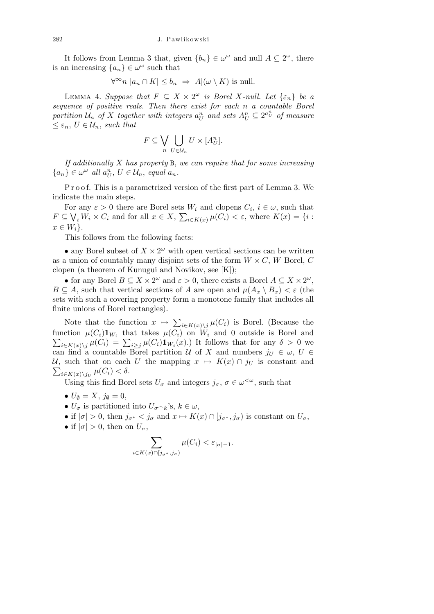It follows from Lemma 3 that, given  ${b_n} \in \omega^\omega$  and null  $A \subseteq 2^\omega$ , there is an increasing  ${a_n} \in \omega^\omega$  such that

$$
\forall^{\infty} n \ | a_n \cap K \leq b_n \ \Rightarrow \ A | (\omega \setminus K) \text{ is null.}
$$

LEMMA 4. *Suppose that*  $F \subseteq X \times 2^{\omega}$  *is Borel X-null. Let*  $\{\varepsilon_n\}$  *be a sequence of positive reals. Then there exist for each n a countable Borel*  $p$  *artition*  $\mathcal{U}_n$  *of*  $X$  *together with integers*  $a_U^n$  *and sets*  $A_U^n \subseteq 2^{a_U^n}$  *of measure*  $\leq \varepsilon_n, U \in \mathcal{U}_n$ , *such that* 

$$
F \subseteq \bigvee_{n} \bigcup_{U \in \mathcal{U}_n} U \times [A_U^n].
$$

*If additionally X has property* B, *we can require that for some increasing*  ${a_n} \in \omega^\omega$  *all*  $a_U^n$ ,  $U \in \mathcal{U}_n$ , *equal*  $a_n$ .

P r o o f. This is a parametrized version of the first part of Lemma 3. We indicate the main steps.

For any  $\varepsilon > 0$  there are Borel sets  $W_i$  and clopens  $C_i$ ,  $i \in \omega$ , such that  $F \subseteq \bigvee_i W_i \times C_i$  and for all  $x \in X$ ,  $\sum_{i \in K(x)} \mu(C_i) < \varepsilon$ , where  $K(x) = \{i :$  $x \in W_i$ .

This follows from the following facts:

• any Borel subset of  $X \times 2^{\omega}$  with open vertical sections can be written as a union of countably many disjoint sets of the form  $W \times C$ , *W* Borel, *C* clopen (a theorem of Kunugui and Novikov, see [K]);

• for any Borel  $B \subseteq X \times 2^{\omega}$  and  $\varepsilon > 0$ , there exists a Borel  $A \subseteq X \times 2^{\omega}$ , *B*  $\subseteq$  *A*, such that vertical sections of *A* are open and  $\mu(A_x \setminus B_x) < \varepsilon$  (the sets with such a covering property form a monotone family that includes all finite unions of Borel rectangles).

Note that the function  $x \mapsto$  $\overline{ }$ *i*∈*K*(*x*) $\setminus j$  *µ*(*C*<sup>*i*</sup>) is Borel. (Because the function  $\mu(C_i) \mathbf{1}_{W_i}$  that takes  $\mu(C_i)$  on  $W_i$  and 0 outside is Borel and *i*<sub>*i*∈*K*(*x*)</sub>*\j* $\mu$ (*Ci*)  $\mathbf{I}$  *W<sub>i</sub>* (*x*).) It follows that for any *δ* > 0 we can find a countable Borel partition *U* of *X* and numbers  $j_U \in \omega$ ,  $U \in$ *U*, such that on each *U* the mapping  $x \mapsto K(x) \cap j_U$  is constant and  $\mu(C_i) < \delta$ .

Using this find Borel sets  $U_{\sigma}$  and integers  $j_{\sigma}$ ,  $\sigma \in \omega^{\leq \omega}$ , such that

- $U_{\emptyset} = X$ ,  $j_{\emptyset} = 0$ ,
- $U_{\sigma}$  is partitioned into  $U_{\sigma} \sim k$ 's,  $k \in \omega$ ,
- if  $|\sigma| > 0$ , then  $j_{\sigma^*} < j_{\sigma}$  and  $x \mapsto K(x) \cap [j_{\sigma^*}, j_{\sigma})$  is constant on  $U_{\sigma}$ ,
- if  $|\sigma| > 0$ , then on  $U_{\sigma}$ ,

$$
\sum_{i \in K(x) \cap [j_{\sigma^*, j_{\sigma}})} \mu(C_i) < \varepsilon_{|\sigma|-1}.
$$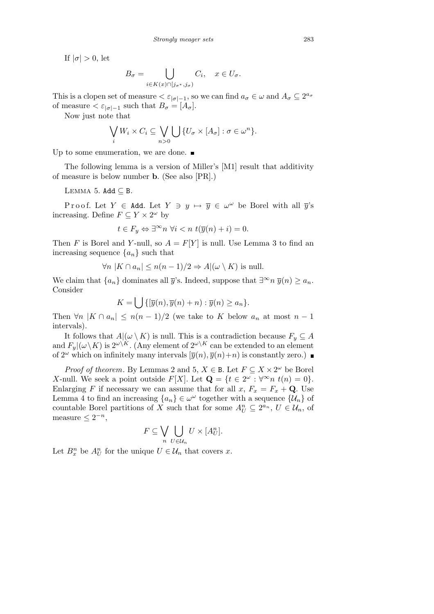If  $|\sigma| > 0$ , let

$$
B_{\sigma} = \bigcup_{i \in K(x) \cap [j_{\sigma^*}, j_{\sigma})} C_i, \quad x \in U_{\sigma}.
$$

This is a clopen set of measure  $\lt \varepsilon_{|\sigma|-1}$ , so we can find  $a_{\sigma} \in \omega$  and  $A_{\sigma} \subseteq 2^{a_{\sigma}}$ of measure  $\lt \varepsilon_{|\sigma|-1}$  such that  $B_{\sigma} = [A_{\sigma}].$ 

Now just note that

$$
\bigvee_i W_i \times C_i \subseteq \bigvee_{n>0} \bigcup \{U_{\sigma} \times [A_{\sigma}] : \sigma \in \omega^n\}.
$$

Up to some enumeration, we are done.

The following lemma is a version of Miller's [M1] result that additivity of measure is below number **b**. (See also [PR].)

Lemma 5. Add *⊆* B*.*

Proof. Let  $Y \in \text{Add.}$  Let  $Y \ni y \mapsto \overline{y} \in \omega^\omega$  be Borel with all  $\overline{y}$ 's increasing. Define  $F \subseteq Y \times 2^{\omega}$  by

$$
t \in F_y \Leftrightarrow \exists^{\infty} n \; \forall i < n \; t(\overline{y}(n) + i) = 0.
$$

Then *F* is Borel and *Y*-null, so  $A = F[Y]$  is null. Use Lemma 3 to find an increasing sequence  $\{a_n\}$  such that

$$
\forall n \ |K \cap a_n| \leq n(n-1)/2 \Rightarrow A | (\omega \setminus K)
$$
 is null.

We claim that  $\{a_n\}$  dominates all *y*'s. Indeed, suppose that  $\exists^\infty n \ \overline{y}(n) \ge a_n$ . Consider  $\mathbf{r}$ 

$$
K = \bigcup \{ [\overline{y}(n), \overline{y}(n) + n) : \overline{y}(n) \ge a_n \}.
$$

Then  $\forall n \mid K \cap a_n \mid \leq n(n-1)/2$  (we take to *K* below  $a_n$  at most  $n-1$ ) intervals).

It follows that  $A|(\omega \setminus K)$  is null. This is a contradiction because  $F_y \subseteq A$ and  $F_y | (\omega \setminus K)$  is  $2^{\omega \setminus K}$ . (Any element of  $2^{\omega \setminus K}$  can be extended to an element of  $2^{\omega}$  which on infinitely many intervals  $[\overline{y}(n), \overline{y}(n)+n)$  is constantly zero.)

*Proof of theorem.* By Lemmas 2 and 5,  $X \in \mathcal{B}$ . Let  $F \subseteq X \times 2^{\omega}$  be Borel *X*-null. We seek a point outside  $F[X]$ . Let  $\mathbf{Q} = \{t \in 2^\omega : \forall^\infty n \ t(n) = 0\}$ . Enlarging *F* if necessary we can assume that for all *x*,  $F_x = F_x + \mathbf{Q}$ . Use Lemma 4 to find an increasing  ${a_n} \in \omega^\omega$  together with a sequence  ${U_n}$  of countable Borel partitions of *X* such that for some  $A_U^n \subseteq 2^{a_n}$ ,  $U \in \mathcal{U}_n$ , of  $measure \leq 2^{-n}$ ,  $\overline{a}$  $\mathbf{r}$ 

$$
F \subseteq \bigvee_n \bigcup_{U \in \mathcal{U}_n} U \times [A_U^n].
$$

Let  $B_x^n$  be  $A_U^n$  for the unique  $U \in \mathcal{U}_n$  that covers *x*.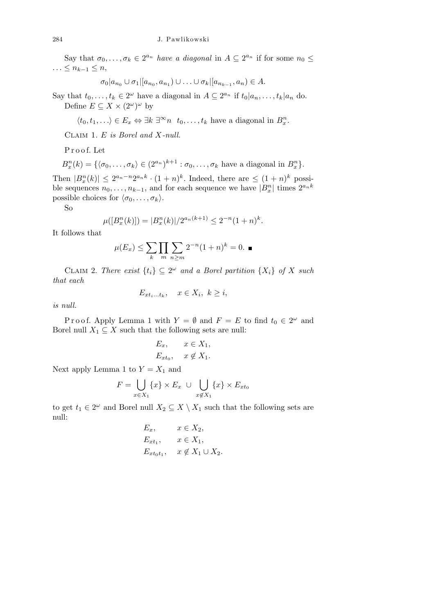Say that  $\sigma_0, \ldots, \sigma_k \in 2^{a_n}$  *have a diagonal* in  $A \subseteq 2^{a_n}$  if for some  $n_0 \leq$ *. . . ≤ nk−*<sup>1</sup> *≤ n*,

$$
\sigma_0 | a_{n_0} \cup \sigma_1 | [a_{n_0}, a_{n_1}) \cup \ldots \cup \sigma_k | [a_{n_{k-1}}, a_n) \in A.
$$

Say that  $t_0, \ldots, t_k \in 2^\omega$  have a diagonal in  $A \subseteq 2^{a_n}$  if  $t_0 | a_n, \ldots, t_k | a_n$  do. Define  $E \subseteq X \times (2^{\omega})^{\omega}$  by

$$
\langle t_0, t_1, \ldots \rangle \in E_x \Leftrightarrow \exists k \exists^{\infty} n \ t_0, \ldots, t_k \text{ have a diagonal in } B_x^n.
$$

Claim 1. *E is Borel and X-null.*

P r o o f. Let

$$
B_x^n(k) = \{ \langle \sigma_0, \ldots, \sigma_k \rangle \in (2^{a_n})^{k+1} : \sigma_0, \ldots, \sigma_k \text{ have a diagonal in } B_x^n \}.
$$

Then  $|B_x^n(k)| \leq 2^{a_n - n} 2^{a_n k} \cdot (1+n)^k$ . Indeed, there are  $\leq (1+n)^k$  possible sequences  $n_0, \ldots, n_{k-1}$ , and for each sequence we have  $|B_x^n|$  times  $2^{a_n k}$ possible choices for  $\langle \sigma_0, \ldots, \sigma_k \rangle$ .

So

$$
\mu([B_x^n(k)]) = |B_x^n(k)|/2^{a_n(k+1)} \le 2^{-n}(1+n)^k.
$$

It follows that

$$
\mu(E_x) \le \sum_{k} \prod_{m} \sum_{n \ge m} 2^{-n} (1+n)^k = 0. \blacksquare
$$

CLAIM 2. *There exist*  $\{t_i\} \subseteq 2^\omega$  *and a Borel partition*  $\{X_i\}$  *of*  $X$  *such that each*

$$
E_{xt_i...t_k}, \quad x \in X_i, \ k \ge i,
$$

*is null.*

Proof. Apply Lemma 1 with  $Y = \emptyset$  and  $F = E$  to find  $t_0 \in 2^{\omega}$  and Borel null  $X_1 \subseteq X$  such that the following sets are null:

$$
E_x, \quad x \in X_1,
$$
  

$$
E_{xt_0}, \quad x \notin X_1.
$$

Next apply Lemma 1 to  $Y = X_1$  and

$$
F = \bigcup_{x \in X_1} \{x\} \times E_x \cup \bigcup_{x \notin X_1} \{x\} \times E_{xt_0}
$$

to get  $t_1 \in 2^\omega$  and Borel null  $X_2 \subseteq X \setminus X_1$  such that the following sets are null:

$$
E_x, \t x \in X_2,
$$
  
\n
$$
E_{xt_1}, \t x \in X_1,
$$
  
\n
$$
E_{xt_0t_1}, \t x \notin X_1 \cup X_2.
$$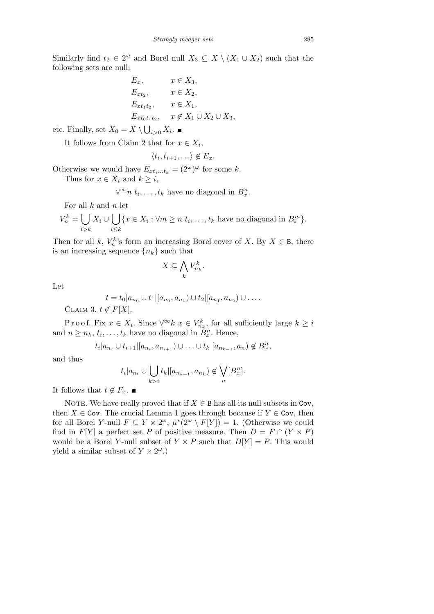Similarly find  $t_2 \in 2^\omega$  and Borel null  $X_3 \subseteq X \setminus (X_1 \cup X_2)$  such that the following sets are null:

$$
E_x, \t x \in X_3,
$$
  
\n
$$
E_{xt_2}, \t x \in X_2,
$$
  
\n
$$
E_{xt_1t_2}, \t x \in X_1,
$$
  
\n
$$
E_{xt_0t_1t_2}, \t x \notin X_1 \cup X_2 \cup X_3,
$$

etc. Finally, set  $X_0 = X \setminus$  $i>0$   $X_i$ .

It follows from Claim 2 that for  $x \in X_i$ ,

$$
\langle t_i, t_{i+1}, \ldots \rangle \notin E_x.
$$

Otherwise we would have  $E_{xt_i...x_k} = (2^{\omega})^{\omega}$  for some *k*.

Thus for  $x \in X_i$  and  $k \geq i$ ,

$$
\forall^\infty n \ t_i, \dots, t_k \text{ have no diagonal in } B_x^n.
$$

For all  $k$  and  $n$  let

$$
V_n^k = \bigcup_{i>k} X_i \cup \bigcup_{i \le k} \{x \in X_i : \forall m \ge n \ t_i, \dots, t_k \text{ have no diagonal in } B_x^m \}.
$$

Then for all *k*,  $V_n^k$ 's form an increasing Borel cover of *X*. By  $X \in \mathcal{B}$ , there is an increasing sequence  ${n_k}$  such that

$$
X \subseteq \bigwedge_k V_{n_k}^k.
$$

Let

$$
t = t_0 | a_{n_0} \cup t_1 | [a_{n_0}, a_{n_1}) \cup t_2 | [a_{n_1}, a_{n_2}) \cup \dots
$$

CLAIM 3.  $t \notin F[X]$ .

Proof. Fix  $x \in X_i$ . Since  $\forall^{\infty} k \ x \in V_{n_k}^k$ , for all sufficiently large  $k \geq i$ and  $n \geq n_k, t_i, \ldots, t_k$  have no diagonal in  $B_x^n$ . Hence,

$$
t_i|a_{n_i} \cup t_{i+1}|[a_{n_i}, a_{n_{i+1}}) \cup \ldots \cup t_k|[a_{n_{k-1}}, a_n] \notin B_x^n,
$$

and thus

$$
t_i|a_{n_i} \cup \bigcup_{k>i} t_k|[a_{n_{k-1}}, a_{n_k}) \notin \bigvee_n [B_x^n].
$$

It follows that *t* ∉  $F_x$ . ■

NOTE. We have really proved that if  $X \in B$  has all its null subsets in Cov, then  $X \in \text{Cov}$ . The crucial Lemma 1 goes through because if  $Y \in \text{Cov}$ , then for all Borel *Y*-null  $F \subseteq Y \times 2^{\omega}$ ,  $\mu^*(2^{\omega} \setminus F[Y]) = 1$ . (Otherwise we could find in  $F[Y]$  a perfect set *P* of positive measure. Then  $D = F \cap (Y \times P)$ would be a Borel *Y*-null subset of  $Y \times P$  such that  $D[Y] = P$ . This would yield a similar subset of  $Y \times 2^{\omega}$ .)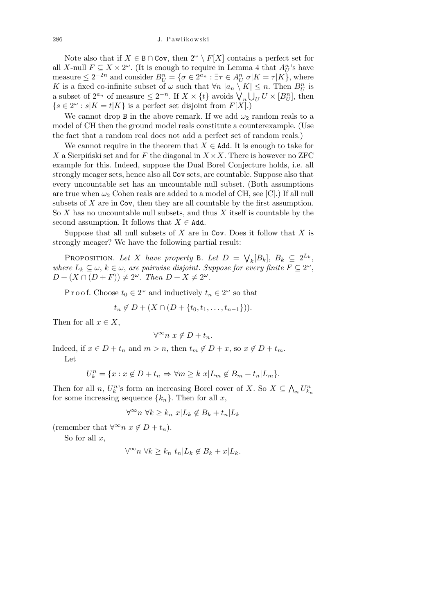Note also that if  $X \in \mathcal{B} \cap \mathcal{C}$ ov, then  $2^{\omega} \setminus F[X]$  contains a perfect set for all *X*-null  $F \subseteq X \times 2^{\omega}$ . (It is enough to require in Lemma 4 that  $A_U^n$ 's have measure  $\leq 2^{-2n}$  and consider  $B_U^n = \{ \sigma \in 2^{a_n} : \exists \tau \in A_U^n \sigma | K = \tau | K \},\$  where *K* is a fixed co-infinite subset of  $\omega$  such that  $\forall n \mid a_n \setminus K \mid \leq n$ . Then  $B_U^n$  is A is a fixed co-finitude subset of  $\omega$  such that  $\forall n | a_n \setminus A | \leq n$ . Then  $D_U^{\omega}$  is<br>a subset of  $2^{a_n}$  of measure  $\leq 2^{-n}$ . If  $X \times \{t\}$  avoids  $\bigvee_n \bigcup_U U \times [B_U^n]$ , then  $\{s \in 2^\omega : s | K = t | K\}$  is a perfect set disjoint from  $F[X].$ 

We cannot drop B in the above remark. If we add  $\omega_2$  random reals to a model of CH then the ground model reals constitute a counterexample. (Use the fact that a random real does not add a perfect set of random reals.)

We cannot require in the theorem that  $X \in \text{Add}$ . It is enough to take for X a Sierpinski set and for *F* the diagonal in  $X \times X$ . There is however no ZFC example for this. Indeed, suppose the Dual Borel Conjecture holds, i.e. all strongly meager sets, hence also all Cov sets, are countable. Suppose also that every uncountable set has an uncountable null subset. (Both assumptions are true when  $\omega_2$  Cohen reals are added to a model of CH, see [C].) If all null subsets of *X* are in Cov, then they are all countable by the first assumption. So *X* has no uncountable null subsets, and thus *X* itself is countable by the second assumption. It follows that  $X \in$  Add.

Suppose that all null subsets of *X* are in Cov. Does it follow that *X* is strongly meager? We have the following partial result:

PROPOSITION. Let X have property B. Let  $D =$  $\ddot{\phantom{0}}$  $E_k[B_k], B_k \subseteq 2^{L_k}$ , *where*  $L_k \subseteq \omega$ ,  $k \in \omega$ , are pairwise disjoint. Suppose for every finite  $F \subseteq 2^\omega$ ,  $D + (X \cap (D + F)) \neq 2^{\omega}$ . Then  $D + X \neq 2^{\omega}$ .

P r o o f. Choose  $t_0 \in 2^{\omega}$  and inductively  $t_n \in 2^{\omega}$  so that

$$
t_n \notin D + (X \cap (D + \{t_0, t_1, \ldots, t_{n-1}\})).
$$

Then for all  $x \in X$ ,

$$
\forall^{\infty} n \ x \notin D + t_n.
$$

Indeed, if  $x \in D + t_n$  and  $m > n$ , then  $t_m \notin D + x$ , so  $x \notin D + t_m$ . Let

$$
U_k^n = \{x : x \notin D + t_n \Rightarrow \forall m \ge k \ x | L_m \notin B_m + t_n | L_m \}.
$$

Then for all *n*,  $U_k^n$ 's form an increasing Borel cover of *X*. So *X*  $\subseteq$  $\mathbf{v}$  $U_{k_n}^n$ for some increasing sequence  $\{k_n\}$ . Then for all x,

$$
\forall^{\infty} n \ \forall k \geq k_n \ x | L_k \notin B_k + t_n | L_k
$$

(remember that  $\forall^{\infty} n \ x \notin D + t_n$ ).

So for all *x*,

$$
\forall^{\infty} n \ \forall k \geq k_n \ t_n | L_k \notin B_k + x | L_k.
$$